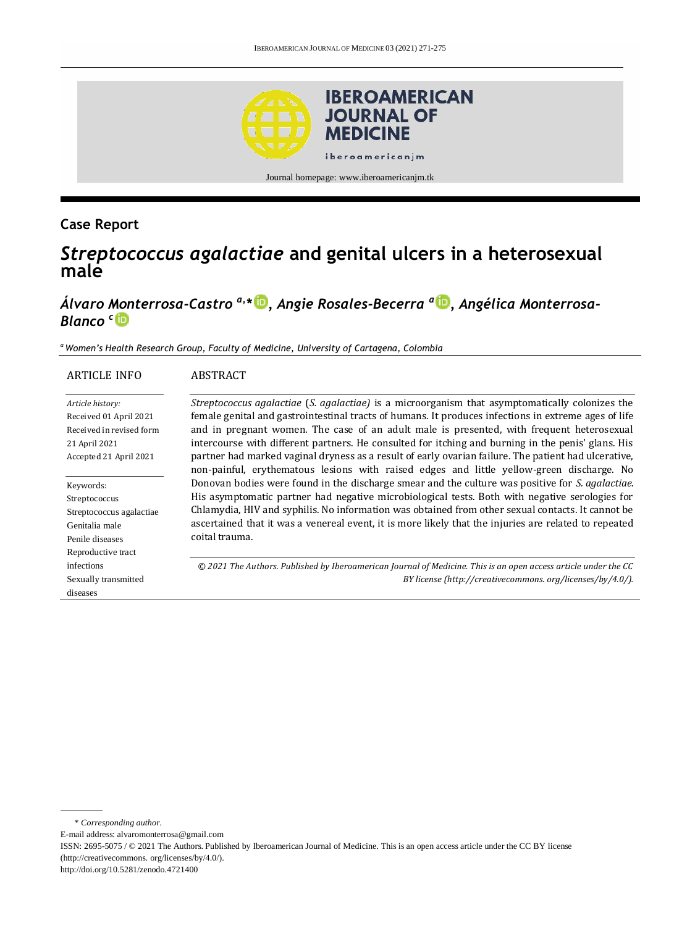

# **Case Report**

# *Streptococcus agalactiae* **and genital ulcers in a heterosexual male**

# *Álvaro Monterrosa-Castro a,\* [,](http://orcid.org/0000-0002-0686-6468) Angie Rosales-Becerra <sup>a</sup> [,](http://orcid.org/0000-0003-1057-5951) Angélica Monterrosa-Blanco <sup>c</sup>*

*<sup>a</sup>Women's Health Research Group, Faculty of Medicine, University of Cartagena, Colombia*

#### ARTICLE INFO ABSTRACT

*Article history:* Received 01 April 2021 Received in revised form 21 April 2021 Accepted 21 April 2021

Keywords: Streptococcus Streptococcus agalactiae Genitalia male Penile diseases Reproductive tract infections Sexually transmitted diseases

*Streptococcus agalactiae* (*S. agalactiae)* is a microorganism that asymptomatically colonizes the female genital and gastrointestinal tracts of humans. It produces infections in extreme ages of life and in pregnant women. The case of an adult male is presented, with frequent heterosexual intercourse with different partners. He consulted for itching and burning in the penis' glans. His partner had marked vaginal dryness as a result of early ovarian failure. The patient had ulcerative, non-painful, erythematous lesions with raised edges and little yellow-green discharge. No Donovan bodies were found in the discharge smear and the culture was positive for *S. agalactiae*. His asymptomatic partner had negative microbiological tests. Both with negative serologies for Chlamydia, HIV and syphilis. No information was obtained from other sexual contacts. It cannot be ascertained that it was a venereal event, it is more likely that the injuries are related to repeated coital trauma.

*© 2021 The Authors. Published by Iberoamerican Journal of Medicine. This is an open access article under the CC BY license (http:/[/creativecommons. org/licenses/by/4.0/\)](https://creativecommons.org/licenses/by/4.0/).*

\* *Corresponding author.*

E-mail address: alvaromonterrosa@gmail.com

ISSN: 2695-5075 / © 2021 The Authors. Published by Iberoamerican Journal of Medicine. This is an open access article under the CC BY license (http://creativecommons. org/licenses/by/4.0/).

http://doi.org/10.5281/zenodo.4721400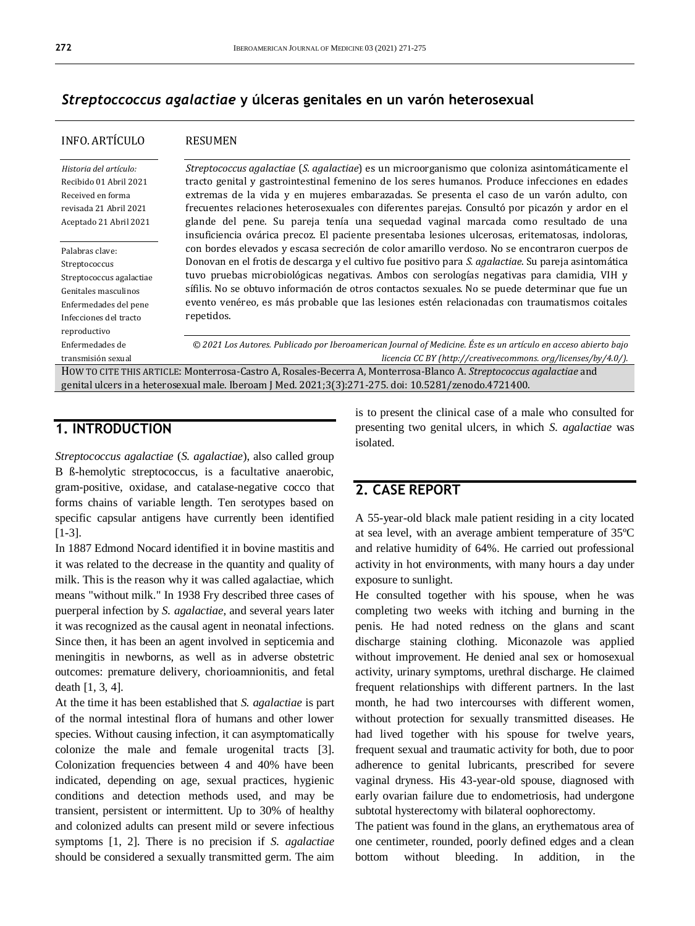#### *Streptoccoccus agalactiae* **y úlceras genitales en un varón heterosexual**

| <b>INFO. ARTÍCULO</b>                                                                                                                                   | <b>RESUMEN</b>                                                                                                                                                                                                                                                                                                                                                                                                                                                                                                                                                                                |  |
|---------------------------------------------------------------------------------------------------------------------------------------------------------|-----------------------------------------------------------------------------------------------------------------------------------------------------------------------------------------------------------------------------------------------------------------------------------------------------------------------------------------------------------------------------------------------------------------------------------------------------------------------------------------------------------------------------------------------------------------------------------------------|--|
| Historia del artículo:<br>Recibido 01 Abril 2021<br>Received en forma<br>revisada 21 Abril 2021<br>Aceptado 21 Abril 2021                               | Streptococcus agalactiae (S. agalactiae) es un microorganismo que coloniza asintomáticamente el<br>tracto genital y gastrointestinal femenino de los seres humanos. Produce infecciones en edades<br>extremas de la vida y en mujeres embarazadas. Se presenta el caso de un varón adulto, con<br>frecuentes relaciones heterosexuales con diferentes parejas. Consultó por picazón y ardor en el<br>glande del pene. Su pareja tenía una sequedad vaginal marcada como resultado de una<br>insuficiencia ovárica precoz. El paciente presentaba lesiones ulcerosas, eritematosas, indoloras, |  |
| Palabras clave:<br>Streptococcus<br>Streptococcus agalactiae<br>Genitales masculinos<br>Enfermedades del pene<br>Infecciones del tracto<br>reproductivo | con bordes elevados y escasa secreción de color amarillo verdoso. No se encontraron cuerpos de<br>Donovan en el frotis de descarga y el cultivo fue positivo para S. agalactiae. Su pareja asintomática<br>tuvo pruebas microbiológicas negativas. Ambos con serologías negativas para clamidia, VIH y<br>sífilis. No se obtuvo información de otros contactos sexuales. No se puede determinar que fue un<br>evento venéreo, es más probable que las lesiones estén relacionadas con traumatismos coitales<br>repetidos.                                                                     |  |
| Enfermedades de<br>transmisión sexual                                                                                                                   | © 2021 Los Autores. Publicado por Iberoamerican Journal of Medicine. Éste es un artículo en acceso abierto bajo<br>licencia CC BY (http://creativecommons.org/licenses/by/4.0/).                                                                                                                                                                                                                                                                                                                                                                                                              |  |
|                                                                                                                                                         | HOW TO CITE THIS ARTICLE: Monterrosa-Castro A, Rosales-Becerra A, Monterrosa-Blanco A. <i>Streptococcus agalactiae</i> and<br>genital ulcers in a heterosexual male. Iberoam J Med. 2021;3(3):271-275. doi: 10.5281/zenodo.4721400.                                                                                                                                                                                                                                                                                                                                                           |  |

## **1. INTRODUCTION**

*Streptococcus agalactiae* (*S. agalactiae*), also called group B ß-hemolytic streptococcus, is a facultative anaerobic, gram-positive, oxidase, and catalase-negative cocco that forms chains of variable length. Ten serotypes based on specific capsular antigens have currently been identified [1-3].

In 1887 Edmond Nocard identified it in bovine mastitis and it was related to the decrease in the quantity and quality of milk. This is the reason why it was called agalactiae, which means "without milk." In 1938 Fry described three cases of puerperal infection by *S. agalactiae*, and several years later it was recognized as the causal agent in neonatal infections. Since then, it has been an agent involved in septicemia and meningitis in newborns, as well as in adverse obstetric outcomes: premature delivery, chorioamnionitis, and fetal death [1, 3, 4].

At the time it has been established that *S. agalactiae* is part of the normal intestinal flora of humans and other lower species. Without causing infection, it can asymptomatically colonize the male and female urogenital tracts [3]. Colonization frequencies between 4 and 40% have been indicated, depending on age, sexual practices, hygienic conditions and detection methods used, and may be transient, persistent or intermittent. Up to 30% of healthy and colonized adults can present mild or severe infectious symptoms [1, 2]. There is no precision if *S. agalactiae* should be considered a sexually transmitted germ. The aim is to present the clinical case of a male who consulted for presenting two genital ulcers, in which *S. agalactiae* was isolated.

### **2. CASE REPORT**

A 55-year-old black male patient residing in a city located at sea level, with an average ambient temperature of 35ºC and relative humidity of 64%. He carried out professional activity in hot environments, with many hours a day under exposure to sunlight.

He consulted together with his spouse, when he was completing two weeks with itching and burning in the penis. He had noted redness on the glans and scant discharge staining clothing. Miconazole was applied without improvement. He denied anal sex or homosexual activity, urinary symptoms, urethral discharge. He claimed frequent relationships with different partners. In the last month, he had two intercourses with different women, without protection for sexually transmitted diseases. He had lived together with his spouse for twelve years, frequent sexual and traumatic activity for both, due to poor adherence to genital lubricants, prescribed for severe vaginal dryness. His 43-year-old spouse, diagnosed with early ovarian failure due to endometriosis, had undergone subtotal hysterectomy with bilateral oophorectomy.

The patient was found in the glans, an erythematous area of one centimeter, rounded, poorly defined edges and a clean bottom without bleeding. In addition, in the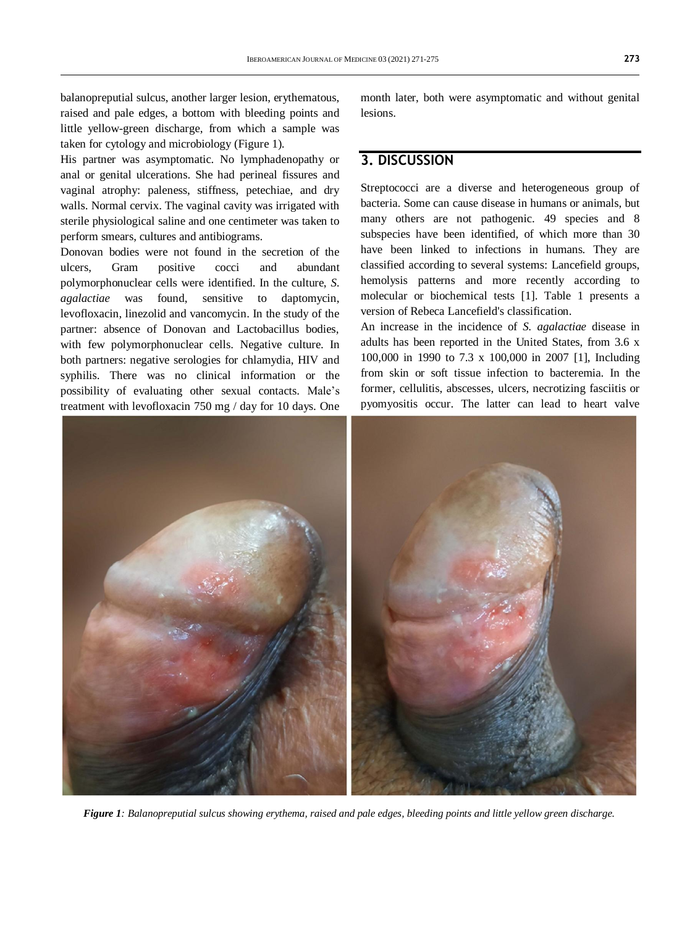balanopreputial sulcus, another larger lesion, erythematous, raised and pale edges, a bottom with bleeding points and little yellow-green discharge, from which a sample was taken for cytology and microbiology (Figure 1).

His partner was asymptomatic. No lymphadenopathy or anal or genital ulcerations. She had perineal fissures and vaginal atrophy: paleness, stiffness, petechiae, and dry walls. Normal cervix. The vaginal cavity was irrigated with sterile physiological saline and one centimeter was taken to perform smears, cultures and antibiograms.

Donovan bodies were not found in the secretion of the ulcers, Gram positive cocci and abundant polymorphonuclear cells were identified. In the culture, *S. agalactiae* was found, sensitive to daptomycin, levofloxacin, linezolid and vancomycin. In the study of the partner: absence of Donovan and Lactobacillus bodies, with few polymorphonuclear cells. Negative culture. In both partners: negative serologies for chlamydia, HIV and syphilis. There was no clinical information or the possibility of evaluating other sexual contacts. Male's treatment with levofloxacin 750 mg / day for 10 days. One month later, both were asymptomatic and without genital lesions.

# **3. DISCUSSION**

Streptococci are a diverse and heterogeneous group of bacteria. Some can cause disease in humans or animals, but many others are not pathogenic. 49 species and 8 subspecies have been identified, of which more than 30 have been linked to infections in humans. They are classified according to several systems: Lancefield groups, hemolysis patterns and more recently according to molecular or biochemical tests [1]. Table 1 presents a version of Rebeca Lancefield's classification.

An increase in the incidence of *S. agalactiae* disease in adults has been reported in the United States, from 3.6 x 100,000 in 1990 to 7.3 x 100,000 in 2007 [1], Including from skin or soft tissue infection to bacteremia. In the former, cellulitis, abscesses, ulcers, necrotizing fasciitis or pyomyositis occur. The latter can lead to heart valve



*Figure 1: Balanopreputial sulcus showing erythema, raised and pale edges, bleeding points and little yellow green discharge.*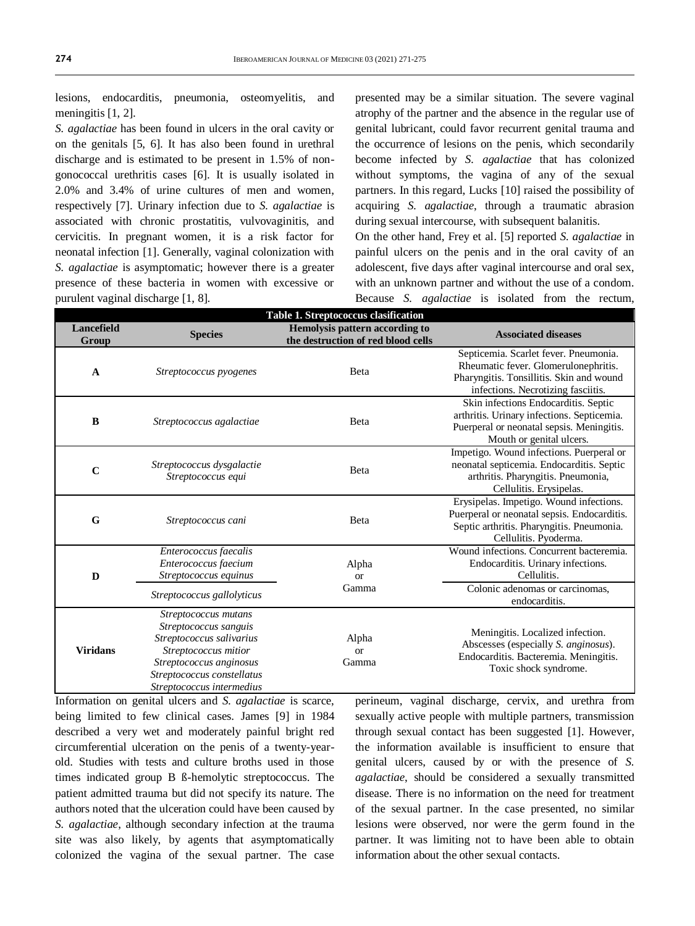lesions, endocarditis, pneumonia, osteomyelitis, and meningitis [1, 2].

*S. agalactiae* has been found in ulcers in the oral cavity or on the genitals [5, 6]. It has also been found in urethral discharge and is estimated to be present in 1.5% of nongonococcal urethritis cases [6]. It is usually isolated in 2.0% and 3.4% of urine cultures of men and women, respectively [7]. Urinary infection due to *S. agalactiae* is associated with chronic prostatitis, vulvovaginitis, and cervicitis. In pregnant women, it is a risk factor for neonatal infection [1]. Generally, vaginal colonization with *S. agalactiae* is asymptomatic; however there is a greater presence of these bacteria in women with excessive or purulent vaginal discharge [1, 8].

presented may be a similar situation. The severe vaginal atrophy of the partner and the absence in the regular use of genital lubricant, could favor recurrent genital trauma and the occurrence of lesions on the penis, which secondarily become infected by *S. agalactiae* that has colonized without symptoms, the vagina of any of the sexual partners. In this regard, Lucks [10] raised the possibility of acquiring *S. agalactiae*, through a traumatic abrasion during sexual intercourse, with subsequent balanitis.

On the other hand, Frey et al. [5] reported *S. agalactiae* in painful ulcers on the penis and in the oral cavity of an adolescent, five days after vaginal intercourse and oral sex, with an unknown partner and without the use of a condom. Because *S. agalactiae* is isolated from the rectum,

| Table 1. Streptococcus clasification |                                                                                                                                                                                         |                                                                      |                                                                                                                                                                 |  |
|--------------------------------------|-----------------------------------------------------------------------------------------------------------------------------------------------------------------------------------------|----------------------------------------------------------------------|-----------------------------------------------------------------------------------------------------------------------------------------------------------------|--|
| <b>Lancefield</b><br>Group           | <b>Species</b>                                                                                                                                                                          | Hemolysis pattern according to<br>the destruction of red blood cells | <b>Associated diseases</b>                                                                                                                                      |  |
| $\mathbf{A}$                         | Streptococcus pyogenes                                                                                                                                                                  | <b>B</b> eta                                                         | Septicemia. Scarlet fever. Pneumonia.<br>Rheumatic fever. Glomerulonephritis.<br>Pharyngitis. Tonsillitis. Skin and wound<br>infections. Necrotizing fasciitis. |  |
| B                                    | Streptococcus agalactiae                                                                                                                                                                | Beta                                                                 | Skin infections Endocarditis. Septic<br>arthritis. Urinary infections. Septicemia.<br>Puerperal or neonatal sepsis. Meningitis.<br>Mouth or genital ulcers.     |  |
| $\mathbf C$                          | Streptococcus dysgalactie<br>Streptococcus equi                                                                                                                                         | Beta                                                                 | Impetigo. Wound infections. Puerperal or<br>neonatal septicemia. Endocarditis. Septic<br>arthritis. Pharyngitis. Pneumonia,<br>Cellulitis. Erysipelas.          |  |
| G                                    | Streptococcus cani                                                                                                                                                                      | <b>B</b> eta                                                         | Erysipelas. Impetigo. Wound infections.<br>Puerperal or neonatal sepsis. Endocarditis.<br>Septic arthritis. Pharyngitis. Pneumonia.<br>Cellulitis. Pyoderma.    |  |
| D                                    | Enterococcus faecalis<br>Enterococcus faecium<br>Streptococcus equinus                                                                                                                  | Alpha<br><b>or</b><br>Gamma                                          | Wound infections. Concurrent bacteremia.<br>Endocarditis. Urinary infections.<br>Cellulitis.                                                                    |  |
|                                      | Streptococcus gallolyticus                                                                                                                                                              |                                                                      | Colonic adenomas or carcinomas,<br>endocarditis.                                                                                                                |  |
| <b>Viridans</b>                      | Streptococcus mutans<br>Streptococcus sanguis<br>Streptococcus salivarius<br>Streptococcus mitior<br>Streptococcus anginosus<br>Streptococcus constellatus<br>Streptococcus intermedius | Alpha<br><b>or</b><br>Gamma                                          | Meningitis. Localized infection.<br>Abscesses (especially S. anginosus).<br>Endocarditis. Bacteremia. Meningitis.<br>Toxic shock syndrome.                      |  |

Information on genital ulcers and *S. agalactiae* is scarce, being limited to few clinical cases. James [9] in 1984 described a very wet and moderately painful bright red circumferential ulceration on the penis of a twenty-yearold. Studies with tests and culture broths used in those times indicated group B ß-hemolytic streptococcus. The patient admitted trauma but did not specify its nature. The authors noted that the ulceration could have been caused by *S. agalactiae*, although secondary infection at the trauma site was also likely, by agents that asymptomatically colonized the vagina of the sexual partner. The case

perineum, vaginal discharge, cervix, and urethra from sexually active people with multiple partners, transmission through sexual contact has been suggested [1]. However, the information available is insufficient to ensure that genital ulcers, caused by or with the presence of *S. agalactiae*, should be considered a sexually transmitted disease. There is no information on the need for treatment of the sexual partner. In the case presented, no similar lesions were observed, nor were the germ found in the partner. It was limiting not to have been able to obtain information about the other sexual contacts.